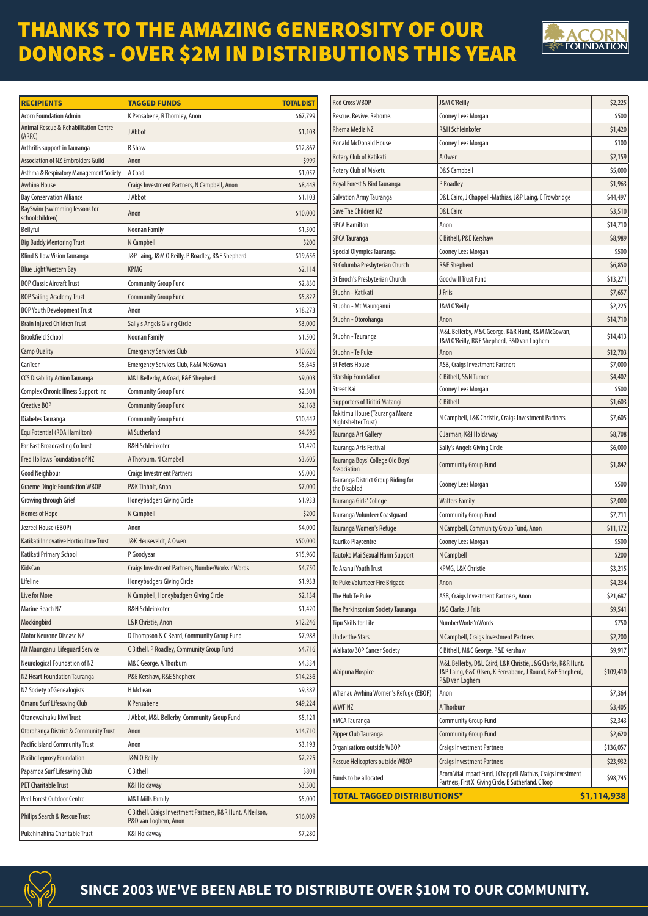## THANKS TO THE AMAZING GENEROSITY OF OUR DONORS - OVER \$2M IN DISTRIBUTIONS THIS YEAR



| <b>RECIPIENTS</b>                                          | <b>TAGGED FUNDS</b>                                                                 | <b>TOTAL DIST</b> |
|------------------------------------------------------------|-------------------------------------------------------------------------------------|-------------------|
| <b>Acorn Foundation Admin</b>                              | K Pensabene, R Thornley, Anon                                                       | \$67,799          |
| <b>Animal Rescue &amp; Rehabilitation Centre</b><br>(ARRC) | J Abbot                                                                             | \$1,103           |
| Arthritis support in Tauranga                              | <b>B</b> Shaw                                                                       | \$12,867          |
| <b>Association of NZ Embroiders Guild</b>                  | Anon                                                                                | \$999             |
| Asthma & Respiratory Management Society                    | A Coad                                                                              | \$1,057           |
| Awhina House                                               | Craigs Investment Partners, N Campbell, Anon                                        | \$8,448           |
| <b>Bay Conservation Alliance</b>                           | J Abbot                                                                             | \$1,103           |
| BaySwim (swimming lessons for<br>schoolchildren)           | Anon                                                                                | \$10,000          |
| Bellyful                                                   | Noonan Family                                                                       | \$1,500           |
| <b>Big Buddy Mentoring Trust</b>                           | N Campbell                                                                          | \$200             |
| Blind & Low Vision Tauranga                                | J&P Laing, J&M O'Reilly, P Roadley, R&E Shepherd                                    | \$19,656          |
| <b>Blue Light Western Bay</b>                              | <b>KPMG</b>                                                                         | \$2,114           |
| <b>BOP Classic Aircraft Trust</b>                          | <b>Community Group Fund</b>                                                         | \$2,830           |
| <b>BOP Sailing Academy Trust</b>                           | <b>Community Group Fund</b>                                                         | \$5,822           |
| <b>BOP Youth Development Trust</b>                         | Anon                                                                                | \$18,273          |
| <b>Brain Injured Children Trust</b>                        | Sally's Angels Giving Circle                                                        | \$3,000           |
| <b>Brookfield School</b>                                   | Noonan Family                                                                       | \$1,500           |
| <b>Camp Quality</b>                                        | <b>Emergency Services Club</b>                                                      | \$10,626          |
| CanTeen                                                    | <b>Emergency Services Club, R&amp;M McGowan</b>                                     | \$5,645           |
| <b>CCS Disability Action Tauranga</b>                      | M&L Bellerby, A Coad, R&E Shepherd                                                  | \$9,003           |
| Complex Chronic Illness Support Inc                        | <b>Community Group Fund</b>                                                         | \$2,301           |
| <b>Creative BOP</b>                                        | <b>Community Group Fund</b>                                                         | \$2,168           |
| Diabetes Tauranga                                          | <b>Community Group Fund</b>                                                         | \$10,442          |
| EquiPotential (RDA Hamilton)                               | M Sutherland                                                                        | \$4,595           |
| <b>Far East Broadcasting Co Trust</b>                      | <b>R&amp;H Schleinkofer</b>                                                         | \$1,420           |
| <b>Fred Hollows Foundation of NZ</b>                       | A Thorburn, N Campbell                                                              | \$3,605           |
| Good Neighbour                                             | <b>Craigs Investment Partners</b>                                                   | \$5,000           |
| <b>Graeme Dingle Foundation WBOP</b>                       | P&K Tinholt, Anon                                                                   | \$7,000           |
|                                                            | Honeybadgers Giving Circle                                                          | \$1,933           |
| Growing through Grief                                      |                                                                                     |                   |
| <b>Homes of Hope</b>                                       | N Campbell                                                                          | \$200             |
| Jezreel House (EBOP)                                       | Anon                                                                                | \$4,000           |
| Katikati Innovative Horticulture Trust                     | J&K Heuseveldt, A Owen                                                              | \$50,000          |
| Katikati Primary School                                    | P Goodyear                                                                          | \$15,960          |
| KidsCan                                                    | Craigs Investment Partners, NumberWorks'nWords                                      | \$4,750           |
| Lifeline                                                   | Honeybadgers Giving Circle                                                          | \$1,933           |
| Live for More                                              | N Campbell, Honeybadgers Giving Circle                                              | \$2,134           |
| Marine Reach NZ                                            | R&H Schleinkofer                                                                    | \$1,420           |
| Mockingbird                                                | L&K Christie, Anon                                                                  | \$12,246          |
| Motor Neurone Disease NZ                                   | D Thompson & C Beard, Community Group Fund                                          | \$7,988           |
| Mt Maunganui Lifeguard Service                             | C Bithell, P Roadley, Community Group Fund                                          | \$4,716           |
| Neurological Foundation of NZ                              | M&C George, A Thorburn                                                              | \$4,334           |
| NZ Heart Foundation Tauranga                               | P&E Kershaw, R&E Shepherd                                                           | \$14,236          |
| NZ Society of Genealogists                                 | H McLean                                                                            | \$9,387           |
| Omanu Surf Lifesaving Club                                 | K Pensabene                                                                         | \$49,224          |
| Otanewainuku Kiwi Trust                                    | J Abbot, M&L Bellerby, Community Group Fund                                         | \$5,121           |
| Otorohanga District & Community Trust                      | Anon                                                                                | \$14,710          |
| Pacific Island Community Trust                             | Anon                                                                                | \$3,193           |
| Pacific Leprosy Foundation                                 | J&M O'Reilly                                                                        | \$2,225           |
| Papamoa Surf Lifesaving Club                               | C Bithell                                                                           | \$801             |
| <b>PET Charitable Trust</b>                                | K&I Holdaway                                                                        | \$3,500           |
| Peel Forest Outdoor Centre                                 | <b>M&amp;T Mills Family</b>                                                         | \$5,000           |
| Philips Search & Rescue Trust                              | C Bithell, Craigs Investment Partners, K&R Hunt, A Neilson,<br>P&D van Loghem, Anon | \$16,009          |
| Pukehinahina Charitable Trust                              | K&I Holdaway                                                                        | \$7,280           |

| <b>Red Cross WBOP</b>                                            | J&M O'Reilly                                                                                                                                | \$2,225     |
|------------------------------------------------------------------|---------------------------------------------------------------------------------------------------------------------------------------------|-------------|
| Rescue, Revive, Rehome.                                          | Cooney Lees Morgan                                                                                                                          | \$500       |
| Rhema Media NZ                                                   | <b>R&amp;H Schleinkofer</b>                                                                                                                 | \$1,420     |
| <b>Ronald McDonald House</b>                                     | Cooney Lees Morgan                                                                                                                          | \$100       |
| Rotary Club of Katikati                                          | A Owen                                                                                                                                      | \$2,159     |
| Rotary Club of Maketu                                            | <b>D&amp;S Campbell</b>                                                                                                                     | \$5,000     |
| Royal Forest & Bird Tauranga                                     | P Roadley                                                                                                                                   | \$1,963     |
| Salvation Army Tauranga                                          | D&L Caird, J Chappell-Mathias, J&P Laing, E Trowbridge                                                                                      | \$44,497    |
| Save The Children NZ                                             | <b>D&amp;L Caird</b>                                                                                                                        | \$3,510     |
| <b>SPCA Hamilton</b>                                             | Anon                                                                                                                                        | \$14,710    |
| <b>SPCA Tauranga</b>                                             | C Bithell, P&E Kershaw                                                                                                                      | \$8,989     |
| Special Olympics Tauranga                                        | Cooney Lees Morgan                                                                                                                          | \$500       |
| St Columba Presbyterian Church                                   | <b>R&amp;E Shepherd</b>                                                                                                                     | \$6,850     |
| St Enoch's Presbyterian Church                                   | <b>Goodwill Trust Fund</b>                                                                                                                  | \$13,271    |
|                                                                  |                                                                                                                                             |             |
| St John - Katikati                                               | J Friis                                                                                                                                     | \$7,657     |
| St John - Mt Maunganui                                           | J&M O'Reilly                                                                                                                                | \$2,225     |
| St John - Otorohanga                                             | Anon<br>M&L Bellerby, M&C George, K&R Hunt, R&M McGowan,                                                                                    | \$14,710    |
| St John - Tauranga                                               | J&M O'Reilly, R&E Shepherd, P&D van Loghem                                                                                                  | \$14,413    |
| St John - Te Puke                                                | Anon                                                                                                                                        | \$12,703    |
| <b>St Peters House</b>                                           | ASB, Craigs Investment Partners                                                                                                             | \$7,000     |
| <b>Starship Foundation</b>                                       | C Bithell, S&N Turner                                                                                                                       | \$4,402     |
| <b>Street Kai</b>                                                | Cooney Lees Morgan                                                                                                                          | \$500       |
| Supporters of Tiritiri Matangi<br>Takitimu House (Tauranga Moana | C Bithell                                                                                                                                   | \$1,603     |
| Nightshelter Trust)                                              | N Campbell, L&K Christie, Craigs Investment Partners                                                                                        | \$7,605     |
| Tauranga Art Gallery                                             | C Jarman, K&I Holdaway                                                                                                                      | \$8,708     |
| Tauranga Arts Festival                                           | Sally's Angels Giving Circle                                                                                                                | \$6,000     |
| Tauranga Boys' College Old Boys'<br>Association                  | <b>Community Group Fund</b>                                                                                                                 | \$1,842     |
| Tauranga District Group Riding for<br>the Disabled               | Cooney Lees Morgan                                                                                                                          | \$500       |
| Tauranga Girls' College                                          | Walters Family                                                                                                                              | \$2,000     |
| Tauranga Volunteer Coastguard                                    | Community Group Fund                                                                                                                        | \$7,711     |
| Tauranga Women's Refuge                                          | N Campbell, Community Group Fund, Anon                                                                                                      | \$11,172    |
| <b>Tauriko Playcentre</b>                                        | Cooney Lees Morgan                                                                                                                          | \$500       |
| Tautoko Mai Sexual Harm Support                                  | N Campbell                                                                                                                                  | \$200       |
| Te Aranui Youth Trust                                            | KPMG, L&K Christie                                                                                                                          | \$3,215     |
| Te Puke Volunteer Fire Brigade                                   | Anon                                                                                                                                        | \$4,234     |
| The Hub Te Puke                                                  | ASB, Craigs Investment Partners, Anon                                                                                                       | \$21,687    |
| The Parkinsonism Society Tauranga                                | J&G Clarke, J Friis                                                                                                                         | \$9,541     |
| Tipu Skills for Life                                             | NumberWorks'nWords                                                                                                                          | \$750       |
| <b>Under the Stars</b>                                           | N Campbell, Craigs Investment Partners                                                                                                      | \$2,200     |
| Waikato/BOP Cancer Society                                       | C Bithell, M&C George, P&E Kershaw                                                                                                          | \$9,917     |
| Waipuna Hospice                                                  | M&L Bellerby, D&L Caird, L&K Christie, J&G Clarke, K&R Hunt,<br>J&P Laing, G&C Olsen, K Pensabene, J Round, R&E Shepherd,<br>P&D van Loghem | \$109,410   |
| Whanau Awhina Women's Refuge (EBOP)                              | Anon                                                                                                                                        | \$7,364     |
| <b>WWFNZ</b>                                                     | A Thorburn                                                                                                                                  | \$3,405     |
| YMCA Tauranga                                                    | Community Group Fund                                                                                                                        | \$2,343     |
| Zipper Club Tauranga                                             | Community Group Fund                                                                                                                        | \$2,620     |
| Organisations outside WBOP                                       | Craigs Investment Partners                                                                                                                  | \$136,057   |
| Rescue Helicopters outside WBOP                                  | <b>Craigs Investment Partners</b>                                                                                                           | \$23,932    |
| Funds to be allocated                                            | Acorn Vital Impact Fund, J Chappell-Mathias, Craigs Investment<br>Partners, First XI Giving Circle, B Sutherland, C Toop                    | \$98,745    |
| <b>TOTAL TAGGED DISTRIBUTIONS*</b>                               |                                                                                                                                             | \$1,114,938 |